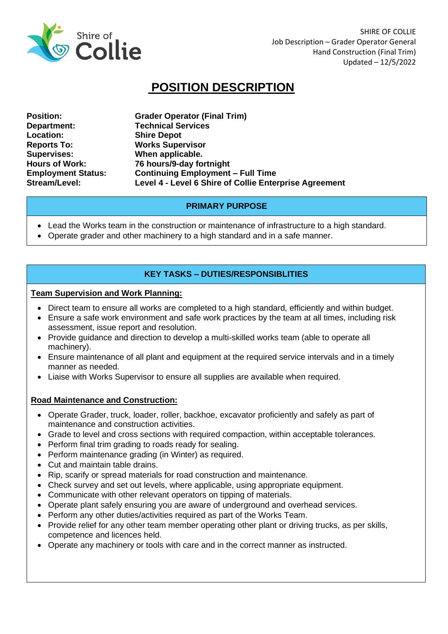

SHIRE OF COLLIE Job Description – Grader Operator General Hand Construction (Final Trim) Updated – 12/5/2022

# **POSITION DESCRIPTION**

**Department: Technical Services Location: Shire Depot Reports To: Works Supervisor Supervises: When applicable.**

**Position: Grader Operator (Final Trim) Hours of Work: 76 hours/9-day fortnight Employment Status: Continuing Employment – Full Time Stream/Level: Level 4 - Level 6 Shire of Collie Enterprise Agreement**

# **PRIMARY PURPOSE**

- Lead the Works team in the construction or maintenance of infrastructure to a high standard.
- Operate grader and other machinery to a high standard and in a safe manner.

# **KEY TASKS – DUTIES/RESPONSIBLITIES**

#### **Team Supervision and Work Planning:**

- Direct team to ensure all works are completed to a high standard, efficiently and within budget.
- Ensure a safe work environment and safe work practices by the team at all times, including risk assessment, issue report and resolution.
- Provide guidance and direction to develop a multi-skilled works team (able to operate all machinery).
- Ensure maintenance of all plant and equipment at the required service intervals and in a timely manner as needed.
- Liaise with Works Supervisor to ensure all supplies are available when required.

#### **Road Maintenance and Construction:**

- Operate Grader, truck, loader, roller, backhoe, excavator proficiently and safely as part of maintenance and construction activities.
- Grade to level and cross sections with required compaction, within acceptable tolerances.
- Perform final trim grading to roads ready for sealing.
- Perform maintenance grading (in Winter) as required.
- Cut and maintain table drains.
- Rip, scarify or spread materials for road construction and maintenance.
- Check survey and set out levels, where applicable, using appropriate equipment.
- Communicate with other relevant operators on tipping of materials.
- Operate plant safely ensuring you are aware of underground and overhead services.
- Perform any other duties/activities required as part of the Works Team.
- Provide relief for any other team member operating other plant or driving trucks, as per skills, competence and licences held.
- Operate any machinery or tools with care and in the correct manner as instructed.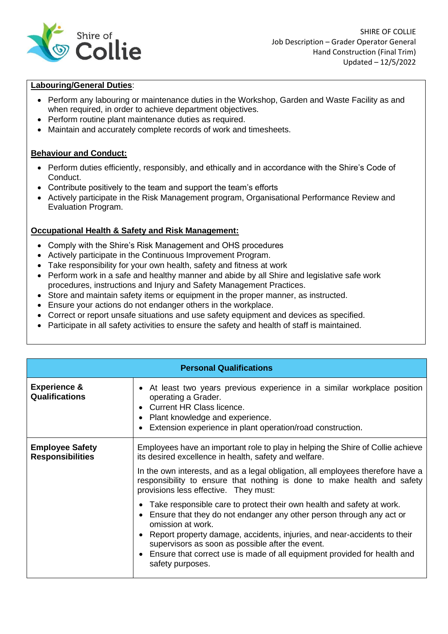

## **Labouring/General Duties**:

- Perform any labouring or maintenance duties in the Workshop, Garden and Waste Facility as and when required, in order to achieve department objectives.
- Perform routine plant maintenance duties as required.
- Maintain and accurately complete records of work and timesheets.

## **Behaviour and Conduct:**

- Perform duties efficiently, responsibly, and ethically and in accordance with the Shire's Code of Conduct.
- Contribute positively to the team and support the team's efforts
- Actively participate in the Risk Management program, Organisational Performance Review and Evaluation Program.

## **Occupational Health & Safety and Risk Management:**

- Comply with the Shire's Risk Management and OHS procedures
- Actively participate in the Continuous Improvement Program.
- Take responsibility for your own health, safety and fitness at work
- Perform work in a safe and healthy manner and abide by all Shire and legislative safe work procedures, instructions and Injury and Safety Management Practices.
- Store and maintain safety items or equipment in the proper manner, as instructed.
- Ensure your actions do not endanger others in the workplace.
- Correct or report unsafe situations and use safety equipment and devices as specified.
- Participate in all safety activities to ensure the safety and health of staff is maintained.

| <b>Personal Qualifications</b>                    |                                                                                                                                                                                                                                                                                                                                                                                                                                                                                                                           |  |
|---------------------------------------------------|---------------------------------------------------------------------------------------------------------------------------------------------------------------------------------------------------------------------------------------------------------------------------------------------------------------------------------------------------------------------------------------------------------------------------------------------------------------------------------------------------------------------------|--|
| <b>Experience &amp;</b><br>Qualifications         | • At least two years previous experience in a similar workplace position<br>operating a Grader.<br>• Current HR Class licence.<br>Plant knowledge and experience.<br>$\bullet$<br>Extension experience in plant operation/road construction.                                                                                                                                                                                                                                                                              |  |
| <b>Employee Safety</b><br><b>Responsibilities</b> | Employees have an important role to play in helping the Shire of Collie achieve<br>its desired excellence in health, safety and welfare.<br>In the own interests, and as a legal obligation, all employees therefore have a<br>responsibility to ensure that nothing is done to make health and safety<br>provisions less effective. They must:<br>• Take responsible care to protect their own health and safety at work.<br>• Ensure that they do not endanger any other person through any act or<br>omission at work. |  |
|                                                   | Report property damage, accidents, injuries, and near-accidents to their<br>٠<br>supervisors as soon as possible after the event.<br>• Ensure that correct use is made of all equipment provided for health and<br>safety purposes.                                                                                                                                                                                                                                                                                       |  |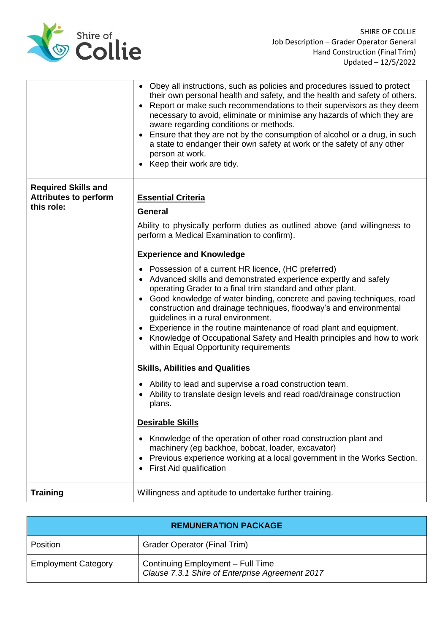

|                                                                          | • Obey all instructions, such as policies and procedures issued to protect<br>their own personal health and safety, and the health and safety of others.<br>• Report or make such recommendations to their supervisors as they deem<br>necessary to avoid, eliminate or minimise any hazards of which they are<br>aware regarding conditions or methods.<br>Ensure that they are not by the consumption of alcohol or a drug, in such<br>a state to endanger their own safety at work or the safety of any other<br>person at work.<br>• Keep their work are tidy.                                                                                                                                                                                                                                                                                                                                                                                                                                                                                                                                                                                                                                                                                     |
|--------------------------------------------------------------------------|--------------------------------------------------------------------------------------------------------------------------------------------------------------------------------------------------------------------------------------------------------------------------------------------------------------------------------------------------------------------------------------------------------------------------------------------------------------------------------------------------------------------------------------------------------------------------------------------------------------------------------------------------------------------------------------------------------------------------------------------------------------------------------------------------------------------------------------------------------------------------------------------------------------------------------------------------------------------------------------------------------------------------------------------------------------------------------------------------------------------------------------------------------------------------------------------------------------------------------------------------------|
| <b>Required Skills and</b><br><b>Attributes to perform</b><br>this role: | <b>Essential Criteria</b><br><b>General</b><br>Ability to physically perform duties as outlined above (and willingness to<br>perform a Medical Examination to confirm).<br><b>Experience and Knowledge</b><br>• Possession of a current HR licence, (HC preferred)<br>• Advanced skills and demonstrated experience expertly and safely<br>operating Grader to a final trim standard and other plant.<br>• Good knowledge of water binding, concrete and paving techniques, road<br>construction and drainage techniques, floodway's and environmental<br>guidelines in a rural environment.<br>Experience in the routine maintenance of road plant and equipment.<br>• Knowledge of Occupational Safety and Health principles and how to work<br>within Equal Opportunity requirements<br><b>Skills, Abilities and Qualities</b><br>Ability to lead and supervise a road construction team.<br>Ability to translate design levels and read road/drainage construction<br>plans.<br><b>Desirable Skills</b><br>Knowledge of the operation of other road construction plant and<br>$\bullet$<br>machinery (eg backhoe, bobcat, loader, excavator)<br>Previous experience working at a local government in the Works Section.<br>First Aid qualification |
| <b>Training</b>                                                          | Willingness and aptitude to undertake further training.                                                                                                                                                                                                                                                                                                                                                                                                                                                                                                                                                                                                                                                                                                                                                                                                                                                                                                                                                                                                                                                                                                                                                                                                |

| <b>REMUNERATION PACKAGE</b> |                                                                                      |  |
|-----------------------------|--------------------------------------------------------------------------------------|--|
| Position                    | <b>Grader Operator (Final Trim)</b>                                                  |  |
| <b>Employment Category</b>  | Continuing Employment - Full Time<br>Clause 7.3.1 Shire of Enterprise Agreement 2017 |  |